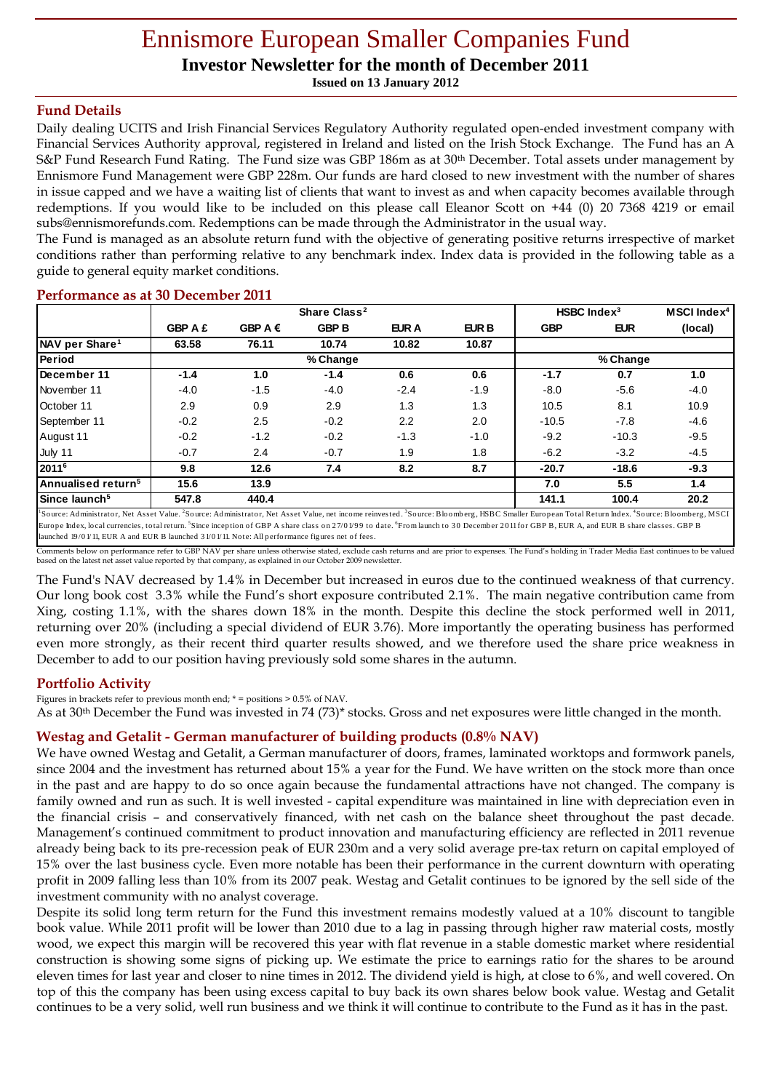# Ennismore European Smaller Companies Fund

**Investor Newsletter for the month of December 2011**

**Issued on 13 January 2012**

# **Fund Details**

Daily dealing UCITS and Irish Financial Services Regulatory Authority regulated open-ended investment company with Financial Services Authority approval, registered in Ireland and listed on the Irish Stock Exchange. The Fund has an A S&P Fund Research Fund Rating. The Fund size was GBP 186m as at 30th December. Total assets under management by Ennismore Fund Management were GBP 228m. Our funds are hard closed to new investment with the number of shares in issue capped and we have a waiting list of clients that want to invest as and when capacity becomes available through redemptions. If you would like to be included on this please call Eleanor Scott on +44 (0) 20 7368 4219 or email subs@ennismorefunds.com. Redemptions can be made through the Administrator in the usual way.

The Fund is managed as an absolute return fund with the objective of generating positive returns irrespective of market conditions rather than performing relative to any benchmark index. Index data is provided in the following table as a guide to general equity market conditions.

|                                                                                                                                                                                                                                                 |                |                  | Share Class <sup>2</sup> |              |              | HSBC Index $3$ |            | <b>MSCI</b> Index <sup>4</sup> |
|-------------------------------------------------------------------------------------------------------------------------------------------------------------------------------------------------------------------------------------------------|----------------|------------------|--------------------------|--------------|--------------|----------------|------------|--------------------------------|
|                                                                                                                                                                                                                                                 | <b>GBP A £</b> | GBP A $\epsilon$ | <b>GBP B</b>             | <b>EUR A</b> | <b>EUR B</b> | <b>GBP</b>     | <b>EUR</b> | (local)                        |
| NAV per Share <sup>1</sup>                                                                                                                                                                                                                      | 63.58          | 76.11            | 10.74                    | 10.82        | 10.87        |                |            |                                |
| Period                                                                                                                                                                                                                                          | % Change       |                  |                          |              | % Change     |                |            |                                |
| December 11                                                                                                                                                                                                                                     | $-1.4$         | 1.0              | $-1.4$                   | 0.6          | 0.6          | $-1.7$         | 0.7        | 1.0                            |
| November 11                                                                                                                                                                                                                                     | $-4.0$         | $-1.5$           | $-4.0$                   | $-2.4$       | $-1.9$       | $-8.0$         | $-5.6$     | $-4.0$                         |
| October 11                                                                                                                                                                                                                                      | 2.9            | 0.9              | 2.9                      | 1.3          | 1.3          | 10.5           | 8.1        | 10.9                           |
| September 11                                                                                                                                                                                                                                    | $-0.2$         | 2.5              | $-0.2$                   | 2.2          | 2.0          | $-10.5$        | $-7.8$     | $-4.6$                         |
| August 11                                                                                                                                                                                                                                       | $-0.2$         | $-1.2$           | $-0.2$                   | $-1.3$       | $-1.0$       | $-9.2$         | $-10.3$    | $-9.5$                         |
| July 11                                                                                                                                                                                                                                         | $-0.7$         | 2.4              | $-0.7$                   | 1.9          | 1.8          | $-6.2$         | $-3.2$     | $-4.5$                         |
| 20116                                                                                                                                                                                                                                           | 9.8            | 12.6             | 7.4                      | 8.2          | 8.7          | $-20.7$        | $-18.6$    | $-9.3$                         |
| Annualised return <sup>5</sup>                                                                                                                                                                                                                  | 15.6           | 13.9             |                          |              |              | 7.0            | 5.5        | 1.4                            |
| Since launch <sup>5</sup>                                                                                                                                                                                                                       | 547.8          | 440.4            |                          |              |              | 141.1          | 100.4      | 20.2                           |
| <sup>1</sup> Source: Administrator, Net Asset Value. <sup>2</sup> Source: Administrator, Net Asset Value, net income reinvested. <sup>3</sup> Source: Bloomberg, HSBC Smaller European Total Return Index. <sup>4</sup> Source: Bloomberg, MSCI |                |                  |                          |              |              |                |            |                                |

### **Performance as at 30 December 2011**

launched  $19/01/11$ , EUR A and EUR B launched  $31/01/11$ . Note: All performance figures net of fees. Comments below on performance refer to GBP NAV per share unless otherwise stated, exclude cash returns and are prior to expenses. The Fund's holding in Trader Media East continues to be valued based on the latest net asset value reported by that company, as explained in our October 2009 newsletter.

Europe Index, local currencies, total return. <sup>S</sup>Since inception of GBP A share class on 27/01/99 to date. <sup>6</sup>From launch to 30 December 2011 for GBP B, EUR A, and EUR B share classes. GBP B

The Fund's NAV decreased by 1.4% in December but increased in euros due to the continued weakness of that currency. Our long book cost 3.3% while the Fund's short exposure contributed 2.1%. The main negative contribution came from Xing, costing 1.1%, with the shares down 18% in the month. Despite this decline the stock performed well in 2011, returning over 20% (including a special dividend of EUR 3.76). More importantly the operating business has performed even more strongly, as their recent third quarter results showed, and we therefore used the share price weakness in December to add to our position having previously sold some shares in the autumn.

## **Portfolio Activity**

Figures in brackets refer to previous month end;  $*$  = positions > 0.5% of NAV.

As at 30th December the Fund was invested in 74 (73)\* stocks. Gross and net exposures were little changed in the month.

### **Westag and Getalit - German manufacturer of building products (0.8% NAV)**

We have owned Westag and Getalit, a German manufacturer of doors, frames, laminated worktops and formwork panels, since 2004 and the investment has returned about 15% a year for the Fund. We have written on the stock more than once in the past and are happy to do so once again because the fundamental attractions have not changed. The company is family owned and run as such. It is well invested - capital expenditure was maintained in line with depreciation even in the financial crisis – and conservatively financed, with net cash on the balance sheet throughout the past decade. Management's continued commitment to product innovation and manufacturing efficiency are reflected in 2011 revenue already being back to its pre-recession peak of EUR 230m and a very solid average pre-tax return on capital employed of 15% over the last business cycle. Even more notable has been their performance in the current downturn with operating profit in 2009 falling less than 10% from its 2007 peak. Westag and Getalit continues to be ignored by the sell side of the investment community with no analyst coverage.

Despite its solid long term return for the Fund this investment remains modestly valued at a 10% discount to tangible book value. While 2011 profit will be lower than 2010 due to a lag in passing through higher raw material costs, mostly wood, we expect this margin will be recovered this year with flat revenue in a stable domestic market where residential construction is showing some signs of picking up. We estimate the price to earnings ratio for the shares to be around eleven times for last year and closer to nine times in 2012. The dividend yield is high, at close to 6%, and well covered. On top of this the company has been using excess capital to buy back its own shares below book value. Westag and Getalit continues to be a very solid, well run business and we think it will continue to contribute to the Fund as it has in the past.